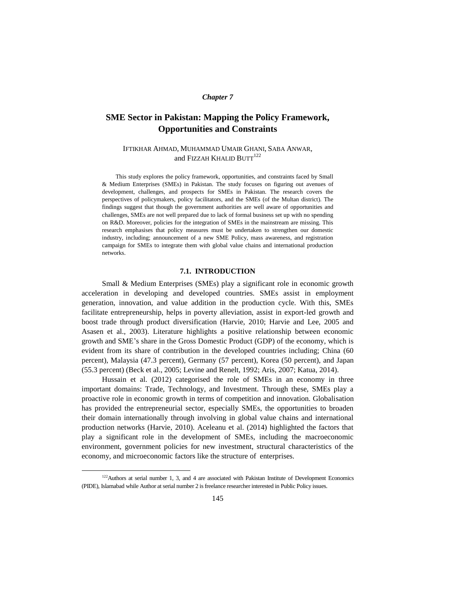## *Chapter 7*

# **SME Sector in Pakistan: Mapping the Policy Framework, Opportunities and Constraints**

## IFTIKHAR AHMAD, MUHAMMAD UMAIR GHANI, SABA ANWAR, and FIZZAH KHALID BUTT<sup>122</sup>

This study explores the policy framework, opportunities, and constraints faced by Small & Medium Enterprises (SMEs) in Pakistan. The study focuses on figuring out avenues of development, challenges, and prospects for SMEs in Pakistan. The research covers the perspectives of policymakers, policy facilitators, and the SMEs (of the Multan district). The findings suggest that though the government authorities are well aware of opportunities and challenges, SMEs are not well prepared due to lack of formal business set up with no spending on R&D. Moreover, policies for the integration of SMEs in the mainstream are missing. This research emphasises that policy measures must be undertaken to strengthen our domestic industry, including; announcement of a new SME Policy, mass awareness, and registration campaign for SMEs to integrate them with global value chains and international production networks.

## **7.1. INTRODUCTION**

Small & Medium Enterprises (SMEs) play a significant role in economic growth acceleration in developing and developed countries. SMEs assist in employment generation, innovation, and value addition in the production cycle. With this, SMEs facilitate entrepreneurship, helps in poverty alleviation, assist in export-led growth and boost trade through product diversification (Harvie, 2010; Harvie and Lee, 2005 and Asasen et al., 2003). Literature highlights a positive relationship between economic growth and SME's share in the Gross Domestic Product (GDP) of the economy, which is evident from its share of contribution in the developed countries including; China (60 percent), Malaysia (47.3 percent), Germany (57 percent), Korea (50 percent), and Japan (55.3 percent) (Beck et al., 2005; Levine and Renelt, 1992; Aris, 2007; Katua, 2014).

Hussain et al. (2012) categorised the role of SMEs in an economy in three important domains: Trade, Technology, and Investment. Through these, SMEs play a proactive role in economic growth in terms of competition and innovation. Globalisation has provided the entrepreneurial sector, especially SMEs, the opportunities to broaden their domain internationally through involving in global value chains and international production networks (Harvie, 2010). Aceleanu et al. (2014) highlighted the factors that play a significant role in the development of SMEs, including the macroeconomic environment, government policies for new investment, structural characteristics of the economy, and microeconomic factors like the structure of enterprises.

 $\overline{a}$ 

<sup>&</sup>lt;sup>122</sup>Authors at serial number 1, 3, and 4 are associated with Pakistan Institute of Development Economics (PIDE), Islamabad while Author at serial number 2 is freelance researcher interested in Public Policy issues.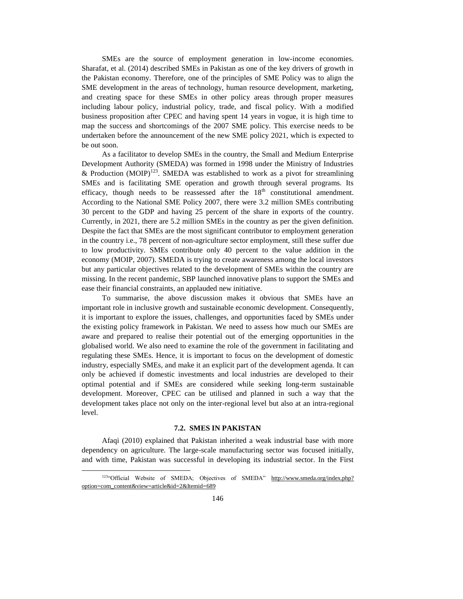SMEs are the source of employment generation in low-income economies. Sharafat, et al. (2014) described SMEs in Pakistan as one of the key drivers of growth in the Pakistan economy. Therefore, one of the principles of SME Policy was to align the SME development in the areas of technology, human resource development, marketing, and creating space for these SMEs in other policy areas through proper measures including labour policy, industrial policy, trade, and fiscal policy. With a modified business proposition after CPEC and having spent 14 years in vogue, it is high time to map the success and shortcomings of the 2007 SME policy. This exercise needs to be undertaken before the announcement of the new SME policy 2021, which is expected to be out soon.

As a facilitator to develop SMEs in the country, the Small and Medium Enterprise Development Authority (SMEDA) was formed in 1998 under the Ministry of Industries & Production (MOIP)<sup>123</sup>. SMEDA was established to work as a pivot for streamlining SMEs and is facilitating SME operation and growth through several programs. Its efficacy, though needs to be reassessed after the  $18<sup>th</sup>$  constitutional amendment. According to the National SME Policy 2007, there were 3.2 million SMEs contributing 30 percent to the GDP and having 25 percent of the share in exports of the country. Currently, in 2021, there are 5.2 million SMEs in the country as per the given definition. Despite the fact that SMEs are the most significant contributor to employment generation in the country i.e., 78 percent of non-agriculture sector employment, still these suffer due to low productivity. SMEs contribute only 40 percent to the value addition in the economy (MOIP, 2007). SMEDA is trying to create awareness among the local investors but any particular objectives related to the development of SMEs within the country are missing. In the recent pandemic, SBP launched innovative plans to support the SMEs and ease their financial constraints, an applauded new initiative.

To summarise, the above discussion makes it obvious that SMEs have an important role in inclusive growth and sustainable economic development. Consequently, it is important to explore the issues, challenges, and opportunities faced by SMEs under the existing policy framework in Pakistan. We need to assess how much our SMEs are aware and prepared to realise their potential out of the emerging opportunities in the globalised world. We also need to examine the role of the government in facilitating and regulating these SMEs. Hence, it is important to focus on the development of domestic industry, especially SMEs, and make it an explicit part of the development agenda. It can only be achieved if domestic investments and local industries are developed to their optimal potential and if SMEs are considered while seeking long-term sustainable development. Moreover, CPEC can be utilised and planned in such a way that the development takes place not only on the inter-regional level but also at an intra-regional level.

## **7.2. SMES IN PAKISTAN**

Afaqi (2010) explained that Pakistan inherited a weak industrial base with more dependency on agriculture. The large-scale manufacturing sector was focused initially, and with time, Pakistan was successful in developing its industrial sector. In the First

 $\overline{a}$ 

<sup>123&</sup>quot;Official Website of SMEDA; Objectives of SMEDA" http://www.smeda.org/index.php? [option=com\\_content&view=article&id=2&Itemid=689](http://www.smeda.org/index.php?option=com_content&view=article&id=2&Itemid=689)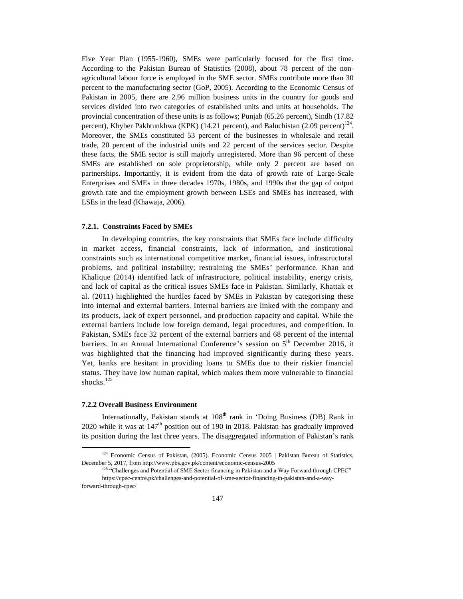Five Year Plan (1955-1960), SMEs were particularly focused for the first time. According to the Pakistan Bureau of Statistics (2008), about 78 percent of the nonagricultural labour force is employed in the SME sector. SMEs contribute more than 30 percent to the manufacturing sector (GoP, 2005). According to the Economic Census of Pakistan in 2005, there are 2.96 million business units in the country for goods and services divided into two categories of established units and units at households. The provincial concentration of these units is as follows; Punjab (65.26 percent), Sindh (17.82 percent), Khyber Pakhtunkhwa (KPK) (14.21 percent), and Baluchistan (2.09 percent)<sup>124</sup>. Moreover, the SMEs constituted 53 percent of the businesses in wholesale and retail trade, 20 percent of the industrial units and 22 percent of the services sector. Despite these facts, the SME sector is still majorly unregistered. More than 96 percent of these SMEs are established on sole proprietorship, while only 2 percent are based on partnerships. Importantly, it is evident from the data of growth rate of Large-Scale Enterprises and SMEs in three decades 1970s, 1980s, and 1990s that the gap of output growth rate and the employment growth between LSEs and SMEs has increased, with LSEs in the lead (Khawaja, 2006).

#### **7.2.1. Constraints Faced by SMEs**

In developing countries, the key constraints that SMEs face include difficulty in market access, financial constraints, lack of information, and institutional constraints such as international competitive market, financial issues, infrastructural problems, and political instability; restraining the SMEs' performance. Khan and Khalique (2014) identified lack of infrastructure, political instability, energy crisis, and lack of capital as the critical issues SMEs face in Pakistan. Similarly, Khattak et al. (2011) highlighted the hurdles faced by SMEs in Pakistan by categorising these into internal and external barriers. Internal barriers are linked with the company and its products, lack of expert personnel, and production capacity and capital. While the external barriers include low foreign demand, legal procedures, and compe tition. In Pakistan, SMEs face 32 percent of the external barriers and 68 percent of the internal barriers. In an Annual International Conference's session on 5<sup>th</sup> December 2016, it was highlighted that the financing had improved significantly during these years. Yet, banks are hesitant in providing loans to SMEs due to their riskier financial status. They have low human capital, which makes them more vulnerable to financial shocks. 125

#### **7.2.2 Overall Business Environment**

Internationally, Pakistan stands at  $108<sup>th</sup>$  rank in 'Doing Business (DB) Rank in 2020 while it was at  $147<sup>th</sup>$  position out of 190 in 2018. Pakistan has gradually improved its position during the last three years. The disaggregated information of Pakistan's rank

 $\overline{a}$ 

<sup>&</sup>lt;sup>124</sup> Economic Census of Pakistan, (2005). Economic Census 2005 | Pakistan Bureau of Statistics, December 5, 2017, from http://www.pbs.gov.pk/content/economic-census-2005

<sup>&</sup>lt;sup>125</sup> "Challenges and Potential of SME Sector financing in Pakistan and a Way Forward through CPEC" [https://cpec-centre.pk/challenges-and-potential-of-sme-sector-financing-in-pakistan-and-a-way-](https://cpec-centre.pk/challenges-and-potential-of-sme-sector-financing-in-pakistan-and-a-way-forward-through-cpec/)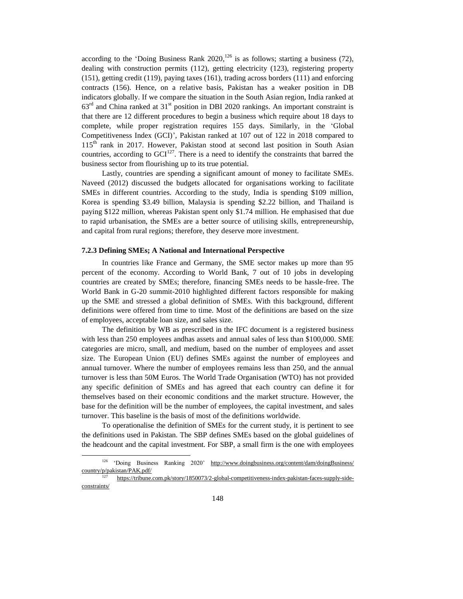according to the 'Doing Business Rank  $2020$ ,<sup>126</sup> is as follows; starting a business (72), dealing with construction permits (112), getting electricity (123), registering property (151), getting credit (119), paying taxes (161), trading across borders (111) and enforcing contracts (156). Hence, on a relative basis, Pakistan has a weaker position in DB indicators globally. If we compare the situation in the South Asian region, India ranked at  $63<sup>rd</sup>$  and China ranked at  $31<sup>st</sup>$  position in DBI 2020 rankings. An important constraint is that there are 12 different procedures to begin a business which require about 18 days to complete, while proper registration requires 155 days. Similarly, in the 'Global Competitiveness Index (GCI)', Pakistan ranked at 107 out of 122 in 2018 compared to 115th rank in 2017. However, Pakistan stood at second last position in South Asian countries, according to  $GCI<sup>127</sup>$ . There is a need to identify the constraints that barred the business sector from flourishing up to its true potential.

Lastly, countries are spending a significant amount of money to facilitate SMEs. Naveed (2012) discussed the budgets allocated for organisations working to facilitate SMEs in different countries. According to the study, India is spending \$109 million, Korea is spending \$3.49 billion, Malaysia is spending \$2.22 billion, and Thailand is paying \$122 million, whereas Pakistan spent only \$1.74 million. He emphasised that due to rapid urbanisation, the SMEs are a better source of utilising skills, entrepreneurship, and capital from rural regions; therefore, they deserve more investment.

## **7.2.3 Defining SMEs; A National and International Perspective**

In countries like France and Germany, the SME sector makes up more than 95 percent of the economy. According to World Bank, 7 out of 10 jobs in developing countries are created by SMEs; therefore, financing SMEs needs to be hassle-free. The World Bank in G-20 summit-2010 highlighted different factors responsible for making up the SME and stressed a global definition of SMEs. With this background, different definitions were offered from time to time. Most of the definitions are based on the size of employees, acceptable loan size, and sales size.

The definition by WB as prescribed in the IFC document is a registered business with less than 250 employees andhas assets and annual sales of less than \$100,000. SME categories are micro, small, and medium, based on the number of employees and asset size. The European Union (EU) defines SMEs against the number of employees and annual turnover. Where the number of employees remains less than 250, and the annual turnover is less than 50M Euros. The World Trade Organisation (WTO) has not provided any specific definition of SMEs and has agreed that each country can define it for themselves based on their economic conditions and the market structure. However, the base for the definition will be the number of employees, the capital investment, and sales turnover. This baseline is the basis of most of the definitions worldwide.

To operationalise the definition of SMEs for the current study, it is pertinent to see the definitions used in Pakistan. The SBP defines SMEs based on the global guidelines of the headcount and the capital investment. For SBP, a small firm is the one with employees

l

<sup>126</sup> 'Doing Business Ranking 2020' [http://www.doingbusiness.org/content/dam/doingBusiness/](http://www.doingbusiness.org/content/dam/doingBusiness/country/p/pakistan/PAK.pdf/)   $\frac{\text{country}}{27}$  https://trib.com

[https://tribune.com.pk/story/1850073/2-global-competitiveness-index-pakistan-faces-supply-side](https://tribune.com.pk/story/1850073/2-global-competitiveness-index-pakistan-faces-supply-side-constraints/)[constraints/](https://tribune.com.pk/story/1850073/2-global-competitiveness-index-pakistan-faces-supply-side-constraints/)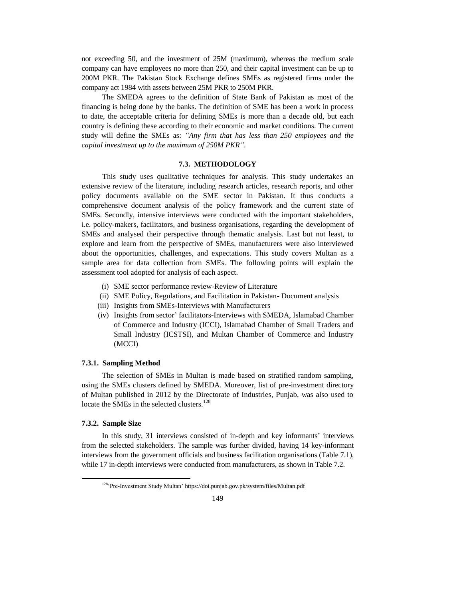not exceeding 50, and the investment of 25M (maximum), whereas the medium scale company can have employees no more than 250, and their capital investment can be up to 200M PKR. The Pakistan Stock Exchange defines SMEs as registered firms under the company act 1984 with assets between 25M PKR to 250M PKR.

The SMEDA agrees to the definition of State Bank of Pakistan as most of the financing is being done by the banks. The definition of SME has been a work in process to date, the acceptable criteria for defining SMEs is more than a decade old, but each country is defining these according to their economic and market conditions. The current study will define the SMEs as: *"Any firm that has less than 250 employees and the capital investment up to the maximum of 250M PKR".*

## **7.3. METHODOLOGY**

This study uses qualitative techniques for analysis. This study undertakes an extensive review of the literature, including research articles, research reports, and other policy documents available on the SME sector in Pakistan. It thus conducts a comprehensive document analysis of the policy framework and the current state of SMEs. Secondly, intensive interviews were conducted with the important stakeholders, i.e. policy-makers, facilitators, and business organisations, regarding the development of SMEs and analysed their perspective through thematic analysis. Last but not least, to explore and learn from the perspective of SMEs, manufacturers were also interviewed about the opportunities, challenges, and expectations. This study covers Multan as a sample area for data collection from SMEs. The following points will explain the assessment tool adopted for analysis of each aspect.

- (i) SME sector performance review-Review of Literature
- (ii) SME Policy, Regulations, and Facilitation in Pakistan- Document analysis
- (iii) Insights from SMEs-Interviews with Manufacturers
- (iv) Insights from sector' facilitators-Interviews with SMEDA, Islamabad Chamber of Commerce and Industry (ICCI), Islamabad Chamber of Small Traders and Small Industry (ICSTSI), and Multan Chamber of Commerce and Industry (MCCI)

## **7.3.1. Sampling Method**

The selection of SMEs in Multan is made based on stratified random sampling, using the SMEs clusters defined by SMEDA. Moreover, list of pre-investment directory of Multan published in 2012 by the Directorate of Industries, Punjab, was also used to locate the SMEs in the selected clusters.<sup>128</sup>

## **7.3.2. Sample Size**

l

In this study, 31 interviews consisted of in-depth and key informants' interviews from the selected stakeholders. The sample was further divided, having 14 key-informant interviews from the government officials and business facilitation organisations (Table 7.1), while 17 in-depth interviews were conducted from manufacturers, as shown in Table 7.2.

<sup>128</sup>'Pre-Investment Study Multan[' https://doi.punjab.gov.pk/system/files/Multan.pdf](https://doi.punjab.gov.pk/system/files/Multan.pdf)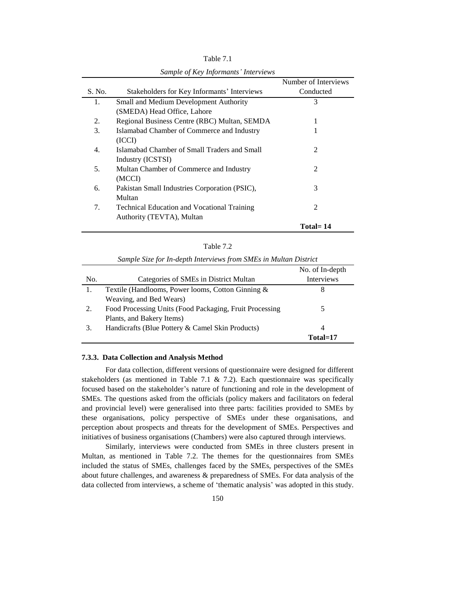|                                               | Number of Interviews                                                            |
|-----------------------------------------------|---------------------------------------------------------------------------------|
| Stakeholders for Key Informants' Interviews   | Conducted                                                                       |
| <b>Small and Medium Development Authority</b> | 3                                                                               |
| (SMEDA) Head Office, Lahore                   |                                                                                 |
| Regional Business Centre (RBC) Multan, SEMDA  | 1                                                                               |
| Islamabad Chamber of Commerce and Industry    |                                                                                 |
| (ICCI)                                        |                                                                                 |
| Islamabad Chamber of Small Traders and Small  | 2                                                                               |
| Industry (ICSTSI)                             |                                                                                 |
| Multan Chamber of Commerce and Industry       | 2                                                                               |
| (MCCI)                                        |                                                                                 |
| Pakistan Small Industries Corporation (PSIC), | 3                                                                               |
| Multan                                        |                                                                                 |
|                                               | 2                                                                               |
|                                               |                                                                                 |
|                                               | Total= 14                                                                       |
|                                               | <b>Technical Education and Vocational Training</b><br>Authority (TEVTA), Multan |

Table 7.1 *Sample of Key Informants' Interviews*

| able |  |
|------|--|
|      |  |

|     |                                                         | No. of In-depth   |
|-----|---------------------------------------------------------|-------------------|
| No. | Categories of SMEs in District Multan                   | <b>Interviews</b> |
|     | Textile (Handlooms, Power looms, Cotton Ginning $\&$    | 8                 |
|     | Weaving, and Bed Wears)                                 |                   |
| 2.  | Food Processing Units (Food Packaging, Fruit Processing |                   |
|     | Plants, and Bakery Items)                               |                   |
| 3.  | Handicrafts (Blue Pottery & Camel Skin Products)        | 4                 |
|     |                                                         | $Total=17$        |

*Sample Size for In-depth Interviews from SMEs in Multan District*

## **7.3.3. Data Collection and Analysis Method**

For data collection, different versions of questionnaire were designed for different stakeholders (as mentioned in Table 7.1 & 7.2). Each questionnaire was specifically focused based on the stakeholder's nature of functioning and role in the development of SMEs. The questions asked from the officials (policy makers and facilitators on federal and provincial level) were generalised into three parts: facilities provided to SMEs by these organisations, policy perspective of SMEs under these organisations, and perception about prospects and threats for the development of SMEs. Perspectives and initiatives of business organisations (Chambers) were also captured through interviews.

Similarly, interviews were conducted from SMEs in three clusters present in Multan, as mentioned in Table 7.2. The themes for the questionnaires from SMEs included the status of SMEs, challenges faced by the SMEs, perspectives of the SMEs about future challenges, and awareness & preparedness of SMEs. For data analysis of the data collected from interviews, a scheme of 'thematic analysis' was adopted in this study.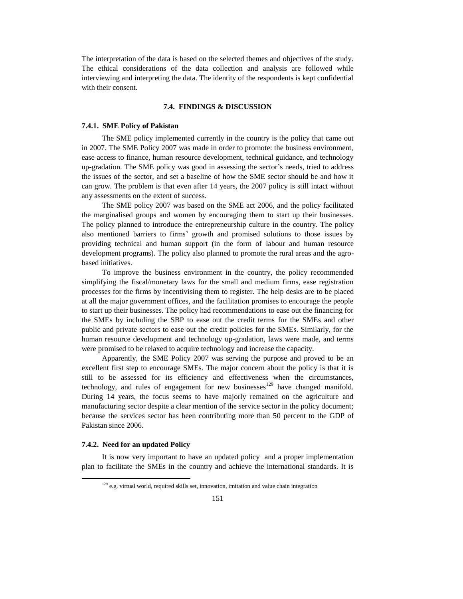The interpretation of the data is based on the selected themes and objectives of the study. The ethical considerations of the data collection and analysis are followed while interviewing and interpreting the data. The identity of the respondents is kept confidential with their consent.

## **7.4. FINDINGS & DISCUSSION**

#### **7.4.1. SME Policy of Pakistan**

The SME policy implemented currently in the country is the policy that came out in 2007. The SME Policy 2007 was made in order to promote: the business environment, ease access to finance, human resource development, technical guidance, and technology up-gradation. The SME policy was good in assessing the sector's needs, tried to address the issues of the sector, and set a baseline of how the SME sector should be and how it can grow. The problem is that even after 14 years, the 2007 policy is still intact without any assessments on the extent of success.

The SME policy 2007 was based on the SME act 2006, and the policy facilitated the marginalised groups and women by encouraging them to start up their businesses. The policy planned to introduce the entrepreneurship culture in the country. The policy also mentioned barriers to firms' growth and promised solutions to those issues by providing technical and human support (in the form of labour and human resource development programs). The policy also planned to promote the rural areas and the agrobased initiatives.

To improve the business environment in the country, the policy recommended simplifying the fiscal/monetary laws for the small and medium firms, ease registration processes for the firms by incentivising them to register. The help desks are to be placed at all the major government offices, and the facilitation promises to encourage the people to start up their businesses. The policy had recommendations to ease out the financing for the SMEs by including the SBP to ease out the credit terms for the SMEs and other public and private sectors to ease out the credit policies for the SMEs. Similarly, for the human resource development and technology up-gradation, laws were made, and terms were promised to be relaxed to acquire technology and increase the capacity.

Apparently, the SME Policy 2007 was serving the purpose and proved to be an excellent first step to encourage SMEs. The major concern about the policy is that it is still to be assessed for its efficiency and effectiveness when the circumstances, technology, and rules of engagement for new businesses<sup>129</sup> have changed manifold. During 14 years, the focus seems to have majorly remained on the agriculture and manufacturing sector despite a clear mention of the service sector in the policy document; because the services sector has been contributing more than 50 percent to the GDP of Pakistan since 2006.

## **7.4.2. Need for an updated Policy**

l

It is now very important to have an updated policy and a proper implementation plan to facilitate the SMEs in the country and achieve the international standards. It is

 $129$  e.g. virtual world, required skills set, innovation, imitation and value chain integration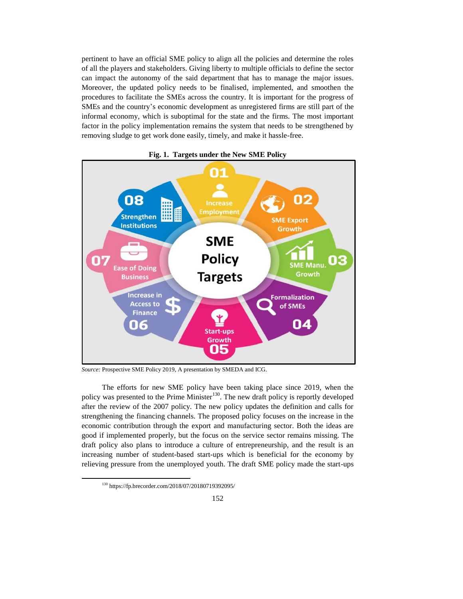pertinent to have an official SME policy to align all the policies and determine the roles of all the players and stakeholders. Giving liberty to multiple officials to define the sector can impact the autonomy of the said department that has to manage the major issues. Moreover, the updated policy needs to be finalised, implemented, and smoothen the procedures to facilitate the SMEs across the country. It is important for the progress of SMEs and the country's economic development as unregistered firms are still part of the informal economy, which is suboptimal for the state and the firms. The most important factor in the policy implementation remains the system that needs to be strengthened by removing sludge to get work done easily, timely, and make it hassle-free.



**Fig. 1. Targets under the New SME Policy**

*Source:* Prospective SME Policy 2019, A presentation by SMEDA and ICG.

The efforts for new SME policy have been taking place since 2019, when the policy was presented to the Prime Minister<sup>130</sup>. The new draft policy is reportly developed after the review of the 2007 policy. The new policy updates the definition and calls for strengthening the financing channels. The proposed policy focuses on the increase in the economic contribution through the export and manufacturing sector. Both the ideas are good if implemented properly, but the focus on the service sector remains missing. The draft policy also plans to introduce a culture of entrepreneurship, and the result is an increasing number of student-based start-ups which is beneficial for the economy by relieving pressure from the unemployed youth. The draft SME policy made the start-ups

l

<sup>130</sup> https://fp.brecorder.com/2018/07/20180719392095/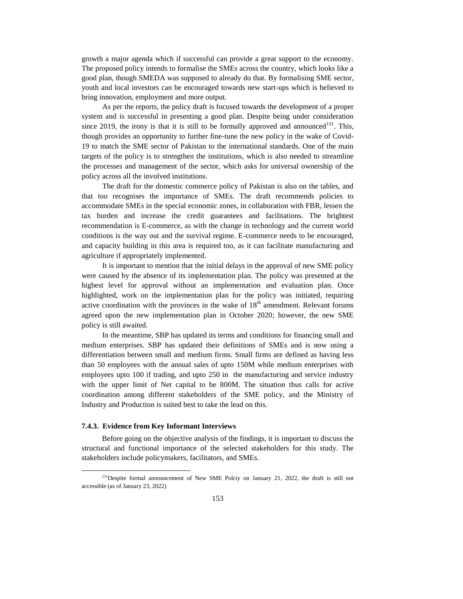growth a major agenda which if successful can provide a great support to the economy. The proposed policy intends to formalise the SMEs across the country, which looks like a good plan, though SMEDA was supposed to already do that. By formalising SME sector, youth and local investors can be encouraged towards new start-ups which is believed to bring innovation, employment and more output.

As per the reports, the policy draft is focused towards the development of a proper system and is successful in presenting a good plan. Despite being under consideration since 2019, the irony is that it is still to be formally approved and announced<sup>131</sup>. This, though provides an opportunity to further fine-tune the new policy in the wake of Covid-19 to match the SME sector of Pakistan to the international standards. One of the main targets of the policy is to strengthen the institutions, which is also needed to streamline the processes and management of the sector, which asks for universal ownership of the policy across all the involved institutions.

The draft for the domestic commerce policy of Pakistan is also on the tables, and that too recognises the importance of SMEs. The draft recommends policies to accommodate SMEs in the special economic zones, in collaboration with FBR, lessen the tax burden and increase the credit guarantees and facilitations. The brightest recommendation is E-commerce, as with the change in technology and the current world conditions is the way out and the survival regime. E-commerce needs to be encouraged, and capacity building in this area is required too, as it can facilitate manufacturing and agriculture if appropriately implemented.

It is important to mention that the initial delays in the approval of new SME policy were caused by the absence of its implementation plan. The policy was presented at the highest level for approval without an implementation and evaluation plan. Once highlighted, work on the implementation plan for the policy was initiated, requiring active coordination with the provinces in the wake of  $18<sup>th</sup>$  amendment. Relevant forums agreed upon the new implementation plan in October 2020; however, the new SME policy is still awaited.

In the meantime, SBP has updated its terms and conditions for financing small and medium enterprises. SBP has updated their definitions of SMEs and is now using a differentiation between small and medium firms. Small firms are defined as having less than 50 employees with the annual sales of upto 150M while medium enterprises with employees upto 100 if trading, and upto 250 in the manufacturing and service industry with the upper limit of Net capital to be 800M. The situation thus calls for active coordination among different stakeholders of the SME policy, and the Ministry of Industry and Production is suited best to take the lead on this.

## **7.4.3. Evidence from Key Informant Interviews**

 $\overline{a}$ 

Before going on the objective analysis of the findings, it is important to discuss the structural and functional importance of the selected stakeholders for this study. The stakeholders include policymakers, facilitators, and SMEs.

<sup>&</sup>lt;sup>131</sup>Despite formal announcement of New SME Polciy on January 21, 2022, the draft is still not accessible (as of January 23, 2022)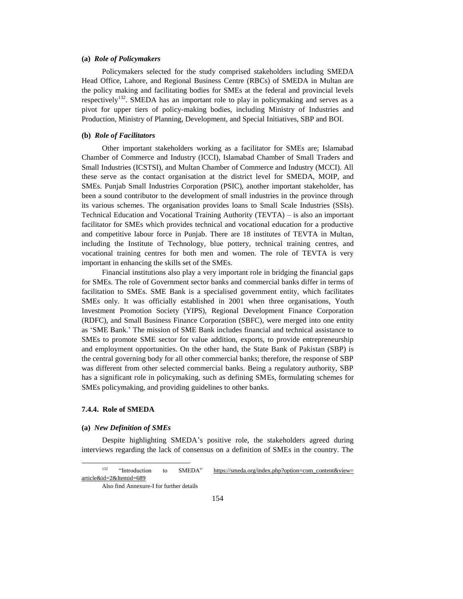## **(a)** *Role of Policymakers*

Policymakers selected for the study comprised stakeholders including SMEDA Head Office, Lahore, and Regional Business Centre (RBCs) of SMEDA in Multan are the policy making and facilitating bodies for SMEs at the federal and provincial levels respectively<sup>132</sup>. SMEDA has an important role to play in policymaking and serves as a pivot for upper tiers of policy-making bodies, including Ministry of Industries and Production, Ministry of Planning, Development, and Special Initiatives, SBP and BOI.

### **(b)** *Role of Facilitators*

Other important stakeholders working as a facilitator for SMEs are; Islamabad Chamber of Commerce and Industry (ICCI), Islamabad Chamber of Small Traders and Small Industries (ICSTSI), and Multan Chamber of Commerce and Industry (MCCI). All these serve as the contact organisation at the district level for SMEDA, MOIP, and SMEs. Punjab Small Industries Corporation (PSIC), another important stakeholder, has been a sound contributor to the development of small industries in the province through its various schemes. The organisation provides loans to Small Scale Industries (SSIs). Technical Education and Vocational Training Authority (TEVTA) – is also an important facilitator for SMEs which provides technical and vocational education for a productive and competitive labour force in Punjab. There are 18 institutes of TEVTA in Multan, including the Institute of Technology, blue pottery, technical training centres, and vocational training centres for both men and women. The role of TEVTA is very important in enhancing the skills set of the SMEs.

Financial institutions also play a very important role in bridging the financial gaps for SMEs. The role of Government sector banks and commercial banks differ in terms of facilitation to SMEs. SME Bank is a specialised government entity, which facilitates SMEs only. It was officially established in 2001 when three organisations, Youth Investment Promotion Society (YIPS), Regional Development Finance Corporation (RDFC), and Small Business Finance Corporation (SBFC), were merged into one entity as 'SME Bank.' The mission of SME Bank includes financial and technical assistance to SMEs to promote SME sector for value addition, exports, to provide entrepreneurship and employment opportunities. On the other hand, the State Bank of Pakistan (SBP) is the central governing body for all other commercial banks; therefore, the response of SBP was different from other selected commercial banks. Being a regulatory authority, SBP has a significant role in policymaking, such as defining SMEs, formulating schemes for SMEs policymaking, and providing guidelines to other banks.

## **7.4.4. Role of SMEDA**

l

## **(a)** *New Definition of SMEs*

Despite highlighting SMEDA's positive role, the stakeholders agreed during interviews regarding the lack of consensus on a definition of SMEs in the country. The

<sup>&</sup>lt;sup>132</sup> "Introduction to SMEDA" https://smeda.org/index.php?option=com\_content&view= [article&id=2&Itemid=689](https://smeda.org/index.php?option=com_content&view=article&id=2&Itemid=689)

Also find Annexure-I for further details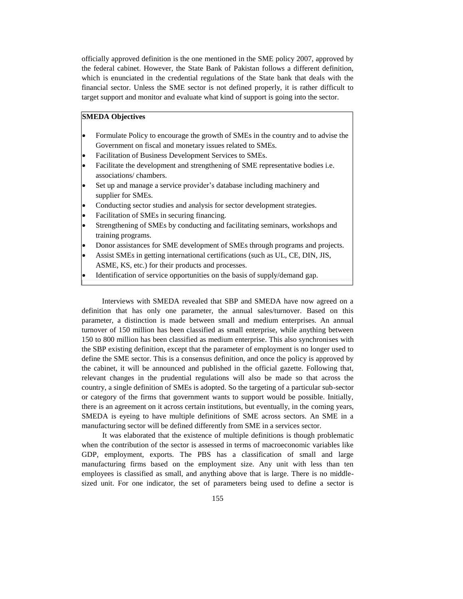officially approved definition is the one mentioned in the SME policy 2007, approved by the federal cabinet. However, the State Bank of Pakistan follows a different definition, which is enunciated in the credential regulations of the State bank that deals with the financial sector. Unless the SME sector is not defined properly, it is rather difficult to target support and monitor and evaluate what kind of support is going into the sector.

## **SMEDA Objectives**

- Formulate Policy to encourage the growth of SMEs in the country and to advise the Government on fiscal and monetary issues related to SMEs.
- Facilitation of Business Development Services to SMEs.
- Facilitate the development and strengthening of SME representative bodies i.e. associations/ chambers.
- Set up and manage a service provider's database including machinery and supplier for SMEs.
- Conducting sector studies and analysis for sector development strategies.
- Facilitation of SMEs in securing financing.
- Strengthening of SMEs by conducting and facilitating seminars, workshops and training programs.
- Donor assistances for SME development of SMEs through programs and projects.
- Assist SMEs in getting international certifications (such as UL, CE, DIN, JIS, ASME, KS, etc.) for their products and processes.
- Identification of service opportunities on the basis of supply/demand gap.

Interviews with SMEDA revealed that SBP and SMEDA have now agreed on a definition that has only one parameter, the annual sales/turnover. Based on this parameter, a distinction is made between small and medium enterprises. An annual turnover of 150 million has been classified as small enterprise, while anything between 150 to 800 million has been classified as medium enterprise. This also synchronises with the SBP existing definition, except that the parameter of employment is no longer used to define the SME sector. This is a consensus definition, and once the policy is approved by the cabinet, it will be announced and published in the official gazette. Following that, relevant changes in the prudential regulations will also be made so that across the country, a single definition of SMEs is adopted. So the targeting of a particular sub-sector or category of the firms that government wants to support would be possible. Initially, there is an agreement on it across certain institutions, but eventually, in the coming years, SMEDA is eyeing to have multiple definitions of SME across sectors. An SME in a manufacturing sector will be defined differently from SME in a services sector.

It was elaborated that the existence of multiple definitions is though problematic when the contribution of the sector is assessed in terms of macroeconomic variables like GDP, employment, exports. The PBS has a classification of small and large manufacturing firms based on the employment size. Any unit with less than ten employees is classified as small, and anything above that is large. There is no middlesized unit. For one indicator, the set of parameters being used to define a sector is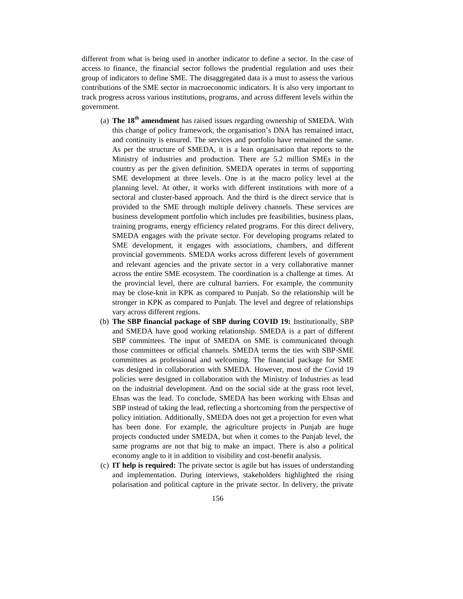different from what is being used in another indicator to define a sector. In the case of access to finance, the financial sector follows the prudential regulation and uses their group of indicators to define SME. The disaggregated data is a must to assess the various contributions of the SME sector in macroeconomic indicators. It is also very important to track progress across various institutions, programs, and across different levels within the government.

- (a) **The 18th amendment** has raised issues regarding ownership of SMEDA. With this change of policy framework, the organisation's DNA has remained intact, and continuity is ensured. The services and portfolio have remained the same. As per the structure of SMEDA, it is a lean organisation that reports to the Ministry of industries and production. There are 5.2 million SMEs in the country as per the given definition. SMEDA operates in terms of supporting SME development at three levels. One is at the macro policy level at the planning level. At other, it works with different institutions with more of a sectoral and cluster-based approach. And the third is the direct service that is provided to the SME through multiple delivery channels. These services are business development portfolio which includes pre feasibilities, business plans, training programs, energy efficiency related programs. For this direct delivery, SMEDA engages with the private sector. For developing programs related to SME development, it engages with associations, chambers, and different provincial governments. SMEDA works across different levels of government and relevant agencies and the private sector in a very collaborative manner across the entire SME ecosystem. The coordination is a challenge at times. At the provincial level, there are cultural barriers. For example, the community may be close-knit in KPK as compared to Punjab. So the relationship will be stronger in KPK as compared to Punjab. The level and degree of relationships vary across different regions.
- (b) **The SBP financial package of SBP during COVID 19:** Institutionally, SBP and SMEDA have good working relationship. SMEDA is a part of different SBP committees. The input of SMEDA on SME is communicated through those committees or official channels. SMEDA terms the ties with SBP-SME committees as professional and welcoming. The financial package for SME was designed in collaboration with SMEDA. However, most of the Covid 19 policies were designed in collaboration with the Ministry of Industries as lead on the industrial development. And on the social side at the grass root level, Ehsas was the lead. To conclude, SMEDA has been working with Ehsas and SBP instead of taking the lead, reflecting a shortcoming from the perspective of policy initiation. Additionally, SMEDA does not get a projection for even what has been done. For example, the agriculture projects in Punjab are huge projects conducted under SMEDA, but when it comes to the Punjab level, the same programs are not that big to make an impact. There is also a political economy angle to it in addition to visibility and cost-benefit analysis.
- (c) **IT help is required:** The private sector is agile but has issues of understanding and implementation. During interviews, stakeholders highlighted the rising polarisation and political capture in the private sector. In delivery, the private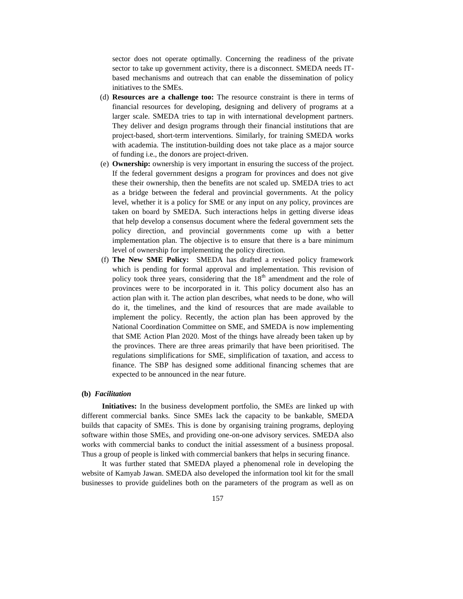sector does not operate optimally. Concerning the readiness of the private sector to take up government activity, there is a disconnect. SMEDA needs ITbased mechanisms and outreach that can enable the dissemination of policy initiatives to the SMEs.

- (d) **Resources are a challenge too:** The resource constraint is there in terms of financial resources for developing, designing and delivery of programs at a larger scale. SMEDA tries to tap in with international development partners. They deliver and design programs through their financial institutions that are project-based, short-term interventions. Similarly, for training SMEDA works with academia. The institution-building does not take place as a major source of funding i.e., the donors are project-driven.
- (e) **Ownership:** ownership is very important in ensuring the success of the project. If the federal government designs a program for provinces and does not give these their ownership, then the benefits are not scaled up. SMEDA tries to act as a bridge between the federal and provincial governments. At the policy level, whether it is a policy for SME or any input on any policy, provinces are taken on board by SMEDA. Such interactions helps in getting diverse ideas that help develop a consensus document where the federal government sets the policy direction, and provincial governments come up with a better implementation plan. The objective is to ensure that there is a bare minimum level of ownership for implementing the policy direction.
- (f) **The New SME Policy:** SMEDA has drafted a revised policy framework which is pending for formal approval and implementation. This revision of policy took three years, considering that the  $18<sup>th</sup>$  amendment and the role of provinces were to be incorporated in it. This policy document also has an action plan with it. The action plan describes, what needs to be done, who will do it, the timelines, and the kind of resources that are made available to implement the policy. Recently, the action plan has been approved by the National Coordination Committee on SME, and SMEDA is now implementing that SME Action Plan 2020. Most of the things have already been taken up by the provinces. There are three areas primarily that have been prioritised. The regulations simplifications for SME, simplification of taxation, and access to finance. The SBP has designed some additional financing schemes that are expected to be announced in the near future.

### **(b)** *Facilitation*

**Initiatives:** In the business development portfolio, the SMEs are linked up with different commercial banks. Since SMEs lack the capacity to be bankable, SMEDA builds that capacity of SMEs. This is done by organising training programs, deploying software within those SMEs, and providing one-on-one advisory services. SMEDA also works with commercial banks to conduct the initial assessment of a business proposal. Thus a group of people is linked with commercial bankers that helps in securing finance.

It was further stated that SMEDA played a phenomenal role in developing the website of Kamyab Jawan. SMEDA also developed the information tool kit for the small businesses to provide guidelines both on the parameters of the program as well as on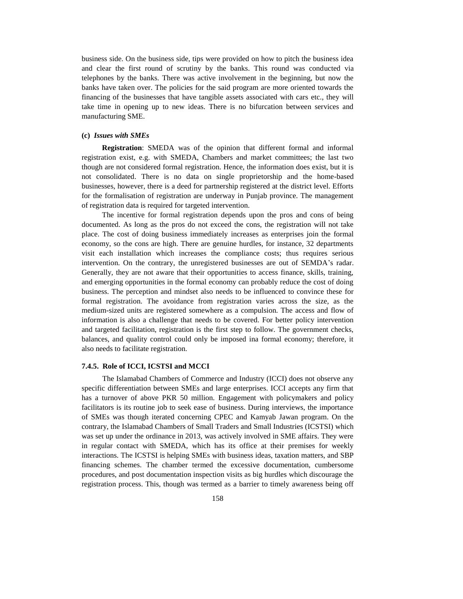business side. On the business side, tips were provided on how to pitch the business idea and clear the first round of scrutiny by the banks. This round was conducted via telephones by the banks. There was active involvement in the beginning, but now the banks have taken over. The policies for the said program are more oriented towards the financing of the businesses that have tangible assets associated with cars etc., they will take time in opening up to new ideas. There is no bifurcation between services and manufacturing SME.

#### **(c)** *Issues with SMEs*

**Registration**: SMEDA was of the opinion that different formal and informal registration exist, e.g. with SMEDA, Chambers and market committees; the last two though are not considered formal registration. Hence, the information does exist, but it is not consolidated. There is no data on single proprietorship and the home-based businesses, however, there is a deed for partnership registered at the district level. Efforts for the formalisation of registration are underway in Punjab province. The management of registration data is required for targeted intervention.

The incentive for formal registration depends upon the pros and cons of being documented. As long as the pros do not exceed the cons, the registration will not take place. The cost of doing business immediately increases as enterprises join the formal economy, so the cons are high. There are genuine hurdles, for instance, 32 departments visit each installation which increases the compliance costs; thus requires serious intervention. On the contrary, the unregistered businesses are out of SEMDA's radar. Generally, they are not aware that their opportunities to access finance, skills, training, and emerging opportunities in the formal economy can probably reduce the cost of doing business. The perception and mindset also needs to be influenced to convince these for formal registration. The avoidance from registration varies across the size, as the medium-sized units are registered somewhere as a compulsion. The access and flow of information is also a challenge that needs to be covered. For better policy intervention and targeted facilitation, registration is the first step to follow. The government checks, balances, and quality control could only be imposed ina formal economy; therefore, it also needs to facilitate registration.

## **7.4.5. Role of ICCI, ICSTSI and MCCI**

The Islamabad Chambers of Commerce and Industry (ICCI) does not observe any specific differentiation between SMEs and large enterprises. ICCI accepts any firm that has a turnover of above PKR 50 million. Engagement with policymakers and policy facilitators is its routine job to seek ease of business. During interviews, the importance of SMEs was though iterated concerning CPEC and Kamyab Jawan program. On the contrary, the Islamabad Chambers of Small Traders and Small Industries (ICSTSI) which was set up under the ordinance in 2013, was actively involved in SME affairs. They were in regular contact with SMEDA, which has its office at their premises for weekly interactions. The ICSTSI is helping SMEs with business ideas, taxation matters, and SBP financing schemes. The chamber termed the excessive documentation, cumbersome procedures, and post documentation inspection visits as big hurdles which discourage the registration process. This, though was termed as a barrier to timely awareness being off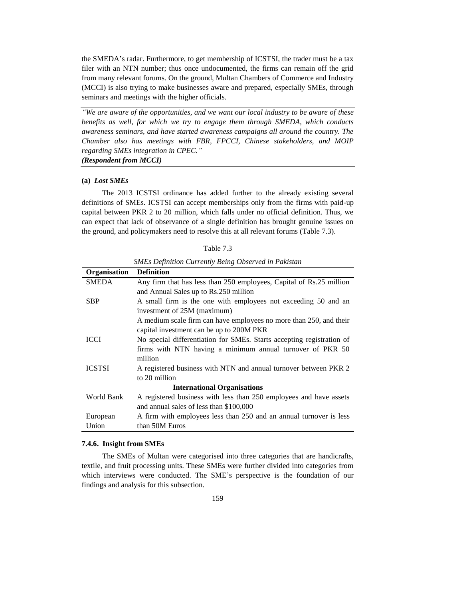the SMEDA's radar. Furthermore, to get membership of ICSTSI, the trader must be a tax filer with an NTN number; thus once undocumented, the firms can remain off the grid from many relevant forums. On the ground, Multan Chambers of Commerce and Industry (MCCI) is also trying to make businesses aware and prepared, especially SMEs, through seminars and meetings with the higher officials.

*"We are aware of the opportunities, and we want our local industry to be aware of these benefits as well, for which we try to engage them through SMEDA, which conducts awareness seminars, and have started awareness campaigns all around the country. The Chamber also has meetings with FBR, FPCCI, Chinese stakeholders, and MOIP regarding SMEs integration in CPEC." (Respondent from MCCI)*

#### **(a)** *Lost SMEs*

The 2013 ICSTSI ordinance has added further to the already existing several definitions of SMEs. ICSTSI can accept memberships only from the firms with paid-up capital between PKR 2 to 20 million, which falls under no official definition. Thus, we can expect that lack of observance of a single definition has brought genuine issues on the ground, and policymakers need to resolve this at all relevant forums (Table 7.3).

| 'able ' |
|---------|
|---------|

| SMLS Definition Currently Being Observed in I awsian |                                                                       |  |
|------------------------------------------------------|-----------------------------------------------------------------------|--|
| Organisation                                         | <b>Definition</b>                                                     |  |
| <b>SMEDA</b>                                         | Any firm that has less than 250 employees, Capital of Rs.25 million   |  |
|                                                      | and Annual Sales up to Rs.250 million                                 |  |
| <b>SBP</b>                                           | A small firm is the one with employees not exceeding 50 and an        |  |
|                                                      | investment of 25M (maximum)                                           |  |
|                                                      | A medium scale firm can have employees no more than 250, and their    |  |
|                                                      | capital investment can be up to 200M PKR                              |  |
| <b>ICCI</b>                                          | No special differentiation for SMEs. Starts accepting registration of |  |
|                                                      | firms with NTN having a minimum annual turnover of PKR 50             |  |
|                                                      | million                                                               |  |
| <b>ICSTSI</b>                                        | A registered business with NTN and annual turnover between PKR 2      |  |
|                                                      | to 20 million                                                         |  |
| <b>International Organisations</b>                   |                                                                       |  |
| World Bank                                           | A registered business with less than 250 employees and have assets    |  |
|                                                      | and annual sales of less than \$100,000                               |  |
| European                                             | A firm with employees less than 250 and an annual turnover is less    |  |
| Union                                                | than 50M Euros                                                        |  |

## *SMEs Definition Currently Being Observed in Pakistan*

#### **7.4.6. Insight from SMEs**

The SMEs of Multan were categorised into three categories that are handicrafts, textile, and fruit processing units. These SMEs were further divided into categories from which interviews were conducted. The SME's perspective is the foundation of our findings and analysis for this subsection.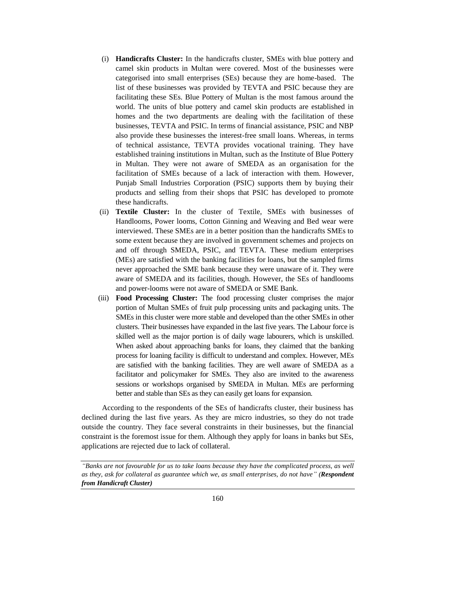- (i) **Handicrafts Cluster:** In the handicrafts cluster, SMEs with blue pottery and camel skin products in Multan were covered. Most of the businesses were categorised into small enterprises (SEs) because they are home-based. The list of these businesses was provided by TEVTA and PSIC because they are facilitating these SEs. Blue Pottery of Multan is the most famous around the world. The units of blue pottery and camel skin products are established in homes and the two departments are dealing with the facilitation of these businesses, TEVTA and PSIC. In terms of financial assistance, PSIC and NBP also provide these businesses the interest-free small loans. Whereas, in terms of technical assistance, TEVTA provides vocational training. They have established training institutions in Multan, such as the Institute of Blue Pottery in Multan. They were not aware of SMEDA as an organisation for the facilitation of SMEs because of a lack of interaction with them. However, Punjab Small Industries Corporation (PSIC) supports them by buying their products and selling from their shops that PSIC has developed to promote these handicrafts.
- (ii) **Textile Cluster:** In the cluster of Textile, SMEs with businesses of Handlooms, Power looms, Cotton Ginning and Weaving and Bed wear were interviewed. These SMEs are in a better position than the handicrafts SMEs to some extent because they are involved in government schemes and projects on and off through SMEDA, PSIC, and TEVTA. These medium enterprises (MEs) are satisfied with the banking facilities for loans, but the sampled firms never approached the SME bank because they were unaware of it. They were aware of SMEDA and its facilities, though. However, the SEs of handlooms and power-looms were not aware of SMEDA or SME Bank.
- (iii) **Food Processing Cluster:** The food processing cluster comprises the major portion of Multan SMEs of fruit pulp processing units and packaging units. The SMEs in this cluster were more stable and developed than the other SMEs in other clusters. Their businesses have expanded in the last five years. The Labour force is skilled well as the major portion is of daily wage labourers, which is unskilled. When asked about approaching banks for loans, they claimed that the banking process for loaning facility is difficult to understand and complex. However, MEs are satisfied with the banking facilities. They are well aware of SMEDA as a facilitator and policymaker for SMEs. They also are invited to the awareness sessions or workshops organised by SMEDA in Multan. MEs are performing better and stable than SEs as they can easily get loans for expansion.

According to the respondents of the SEs of handicrafts cluster, their business has declined during the last five years. As they are micro industries, so they do not trade outside the country. They face several constraints in their businesses, but the financial constraint is the foremost issue for them. Although they apply for loans in banks but SEs, applications are rejected due to lack of collateral.

*"Banks are not favourable for us to take loans because they have the complicated process, as well as they, ask for collateral as guarantee which we, as small enterprises, do not have" (Respondent from Handicraft Cluster)*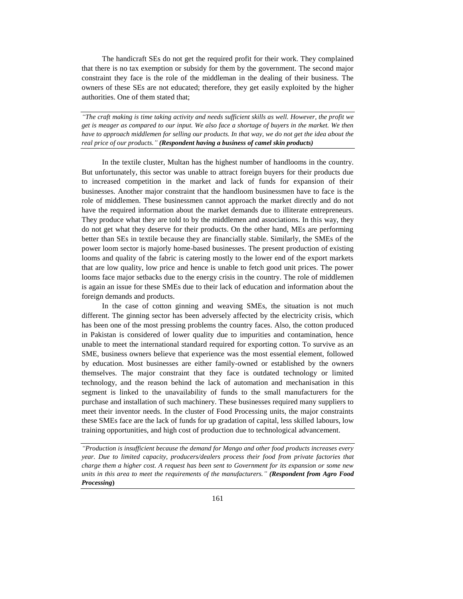The handicraft SEs do not get the required profit for their work. They complained that there is no tax exemption or subsidy for them by the government. The second major constraint they face is the role of the middleman in the dealing of their business. The owners of these SEs are not educated; therefore, they get easily exploited by the higher authorities. One of them stated that;

*"The craft making is time taking activity and needs sufficient skills as well. However, the profit we get is meager as compared to our input. We also face a shortage of buyers in the market. We then have to approach middlemen for selling our products. In that way, we do not get the idea about the real price of our products." (Respondent having a business of camel skin products)*

In the textile cluster, Multan has the highest number of handlooms in the country. But unfortunately, this sector was unable to attract foreign buyers for their products due to increased competition in the market and lack of funds for expansion of their businesses. Another major constraint that the handloom businessmen have to face is the role of middlemen. These businessmen cannot approach the market directly and do not have the required information about the market demands due to illiterate entrepreneurs. They produce what they are told to by the middlemen and associations. In this way, they do not get what they deserve for their products. On the other hand, MEs are performing better than SEs in textile because they are financially stable. Similarly, the SMEs of the power loom sector is majorly home-based businesses. The present production of existing looms and quality of the fabric is catering mostly to the lower end of the export markets that are low quality, low price and hence is unable to fetch good unit prices. The power looms face major setbacks due to the energy crisis in the country. The role of middlemen is again an issue for these SMEs due to their lack of education and information about the foreign demands and products.

In the case of cotton ginning and weaving SMEs, the situation is not much different. The ginning sector has been adversely affected by the electricity crisis, which has been one of the most pressing problems the country faces. Also, the cotton produced in Pakistan is considered of lower quality due to impurities and contamination, hence unable to meet the international standard required for exporting cotton. To survive as an SME, business owners believe that experience was the most essential element, followed by education. Most businesses are either family-owned or established by the owners themselves. The major constraint that they face is outdated technology or limited technology, and the reason behind the lack of automation and mechanisation in this segment is linked to the unavailability of funds to the small manufacturers for the purchase and installation of such machinery. These businesses required many suppliers to meet their inventor needs. In the cluster of Food Processing units, the major constraints these SMEs face are the lack of funds for up gradation of capital, less skilled labours, low training opportunities, and high cost of production due to technological advancement.

*"Production is insufficient because the demand for Mango and other food products increases every year. Due to limited capacity, producers/dealers process their food from private factories that charge them a higher cost. A request has been sent to Government for its expansion or some new units in this area to meet the requirements of the manufacturers." (Respondent from Agro Food Processing***)**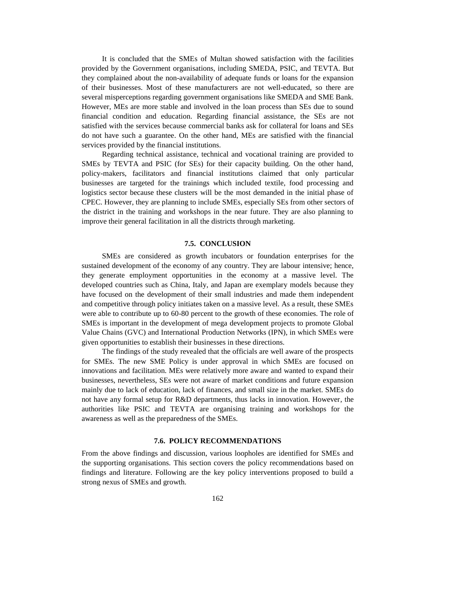It is concluded that the SMEs of Multan showed satisfaction with the facilities provided by the Government organisations, including SMEDA, PSIC, and TEVTA. But they complained about the non-availability of adequate funds or loans for the expansion of their businesses. Most of these manufacturers are not well-educated, so there are several misperceptions regarding government organisations like SMEDA and SME Bank. However, MEs are more stable and involved in the loan process than SEs due to sound financial condition and education. Regarding financial assistance, the SEs are not satisfied with the services because commercial banks ask for collateral for loans and SEs do not have such a guarantee. On the other hand, MEs are satisfied with the financial services provided by the financial institutions.

Regarding technical assistance, technical and vocational training are provided to SMEs by TEVTA and PSIC (for SEs) for their capacity building. On the other hand, policy-makers, facilitators and financial institutions claimed that only particular businesses are targeted for the trainings which included textile, food processing and logistics sector because these clusters will be the most demanded in the initial phase of CPEC. However, they are planning to include SMEs, especially SEs from other sectors of the district in the training and workshops in the near future. They are also planning to improve their general facilitation in all the districts through marketing.

## **7.5. CONCLUSION**

SMEs are considered as growth incubators or foundation enterprises for the sustained development of the economy of any country. They are labour intensive; hence, they generate employment opportunities in the economy at a massive level. The developed countries such as China, Italy, and Japan are exemplary models because they have focused on the development of their small industries and made them independent and competitive through policy initiates taken on a massive level. As a result, these SMEs were able to contribute up to 60-80 percent to the growth of these economies. The role of SMEs is important in the development of mega development projects to promote Global Value Chains (GVC) and International Production Networks (IPN), in which SMEs were given opportunities to establish their businesses in these directions.

The findings of the study revealed that the officials are well aware of the prospects for SMEs. The new SME Policy is under approval in which SMEs are focused on innovations and facilitation. MEs were relatively more aware and wanted to expand their businesses, nevertheless, SEs were not aware of market conditions and future expansion mainly due to lack of education, lack of finances, and small size in the market. SMEs do not have any formal setup for R&D departments, thus lacks in innovation. However, the authorities like PSIC and TEVTA are organising training and workshops for the awareness as well as the preparedness of the SMEs.

### **7.6. POLICY RECOMMENDATIONS**

From the above findings and discussion, various loopholes are identified for SMEs and the supporting organisations. This section covers the policy recommendations based on findings and literature. Following are the key policy interventions proposed to build a strong nexus of SMEs and growth.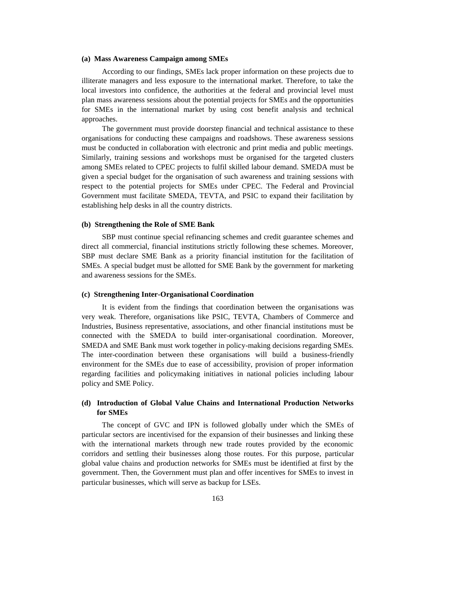#### **(a) Mass Awareness Campaign among SMEs**

According to our findings, SMEs lack proper information on these projects due to illiterate managers and less exposure to the international market. Therefore, to take the local investors into confidence, the authorities at the federal and provincial level must plan mass awareness sessions about the potential projects for SMEs and the opportunities for SMEs in the international market by using cost benefit analysis and technical approaches.

The government must provide doorstep financial and technical assistance to these organisations for conducting these campaigns and roadshows. These awareness sessions must be conducted in collaboration with electronic and print media and public meetings. Similarly, training sessions and workshops must be organised for the targeted clusters among SMEs related to CPEC projects to fulfil skilled labour demand. SMEDA must be given a special budget for the organisation of such awareness and training sessions with respect to the potential projects for SMEs under CPEC. The Federal and Provincial Government must facilitate SMEDA, TEVTA, and PSIC to expand their facilitation by establishing help desks in all the country districts.

## **(b) Strengthening the Role of SME Bank**

SBP must continue special refinancing schemes and credit guarantee schemes and direct all commercial, financial institutions strictly following these schemes. Moreover, SBP must declare SME Bank as a priority financial institution for the facilitation of SMEs. A special budget must be allotted for SME Bank by the government for marketing and awareness sessions for the SMEs.

## **(c) Strengthening Inter-Organisational Coordination**

It is evident from the findings that coordination between the organisations was very weak. Therefore, organisations like PSIC, TEVTA, Chambers of Commerce and Industries, Business representative, associations, and other financial institutions must be connected with the SMEDA to build inter-organisational coordination. Moreover, SMEDA and SME Bank must work together in policy-making decisions regarding SMEs. The inter-coordination between these organisations will build a business-friendly environment for the SMEs due to ease of accessibility, provision of proper information regarding facilities and policymaking initiatives in national policies including labour policy and SME Policy.

## **(d) Introduction of Global Value Chains and International Production Networks for SMEs**

The concept of GVC and IPN is followed globally under which the SMEs of particular sectors are incentivised for the expansion of their businesses and linking these with the international markets through new trade routes provided by the economic corridors and settling their businesses along those routes. For this purpose, particular global value chains and production networks for SMEs must be identified at first by the government. Then, the Government must plan and offer incentives for SMEs to invest in particular businesses, which will serve as backup for LSEs.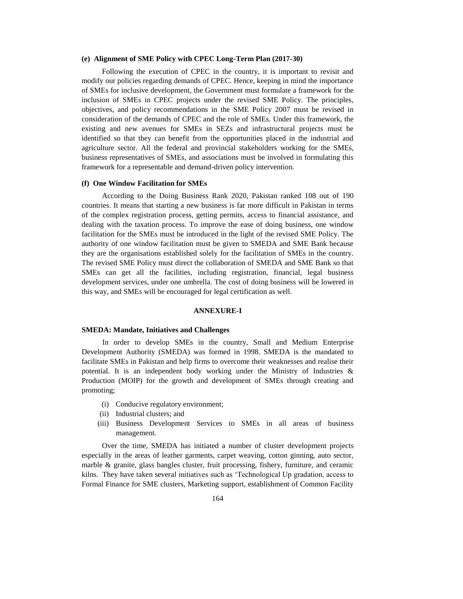## **(e) Alignment of SME Policy with CPEC Long-Term Plan (2017-30)**

Following the execution of CPEC in the country, it is important to revisit and modify our policies regarding demands of CPEC. Hence, keeping in mind the importance of SMEs for inclusive development, the Government must formulate a framework for the inclusion of SMEs in CPEC projects under the revised SME Policy. The principles, objectives, and policy recommendations in the SME Policy 2007 must be revised in consideration of the demands of CPEC and the role of SMEs. Under this framework, the existing and new avenues for SMEs in SEZs and infrastructural projects must be identified so that they can benefit from the opportunities placed in the industrial and agriculture sector. All the federal and provincial stakeholders working for the SMEs, business representatives of SMEs, and associations must be involved in formulating this framework for a representable and demand-driven policy intervention.

## **(f) One Window Facilitation for SMEs**

According to the Doing Business Rank 2020, Pakistan ranked 108 out of 190 countries. It means that starting a new business is far more difficult in Pakistan in terms of the complex registration process, getting permits, access to financial assistance, and dealing with the taxation process. To improve the ease of doing business, one window facilitation for the SMEs must be introduced in the light of the revised SME Policy. The authority of one window facilitation must be given to SMEDA and SME Bank because they are the organisations established solely for the facilitation of SMEs in the country. The revised SME Policy must direct the collaboration of SMEDA and SME Bank so that SMEs can get all the facilities, including registration, financial, legal business development services, under one umbrella. The cost of doing business will be lowered in this way, and SMEs will be encouraged for legal certification as well.

#### **ANNEXURE-I**

### **SMEDA: Mandate, Initiatives and Challenges**

In order to develop SMEs in the country, Small and Medium Enterprise Development Authority (SMEDA) was formed in 1998. SMEDA is the mandated to facilitate SMEs in Pakistan and help firms to overcome their weaknesses and realise their potential. It is an independent body working under the Ministry of Industries & Production (MOIP) for the growth and development of SMEs through creating and promoting;

- (i) Conducive regulatory environment;
- (ii) Industrial clusters; and
- (iii) Business Development Services to SMEs in all areas of business management.

Over the time, SMEDA has initiated a number of cluster development projects especially in the areas of leather garments, carpet weaving, cotton ginning, auto sector, marble & granite, glass bangles cluster, fruit processing, fishery, furniture, and ceramic kilns. They have taken several initiatives such as 'Technological Up gradation, access to Formal Finance for SME clusters, Marketing support, establishment of Common Facility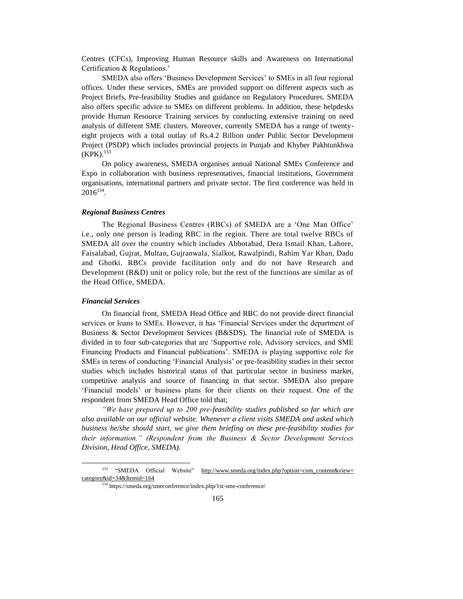Centres (CFCs), Improving Human Resource skills and Awareness on International Certification & Regulations.'

SMEDA also offers 'Business Development Services' to SMEs in all four regional offices. Under these services, SMEs are provided support on different aspects such as Project Briefs, Pre-feasibility Studies and guidance on Regulatory Procedures. SMEDA also offers specific advice to SMEs on different problems. In addition, these helpdesks provide Human Resource Training services by conducting extensive training on need analysis of different SME clusters. Moreover, currently SMEDA has a range of twentyeight projects with a total outlay of Rs.4.2 Billion under Public Sector Development Project (PSDP) which includes provincial projects in Punjab and Khyber Pakhtunkhwa  $(KPK).$ <sup>133</sup>

On policy awareness, SMEDA organises annual National SMEs Conference and Expo in collaboration with business representatives, financial institutions, Government organisations, international partners and private sector. The first conference was held in  $2016^{134}$ .

## *Regional Business Centres*

The Regional Business Centres (RBCs) of SMEDA are a 'One Man Office' i.e., only one person is leading RBC in the region. There are total twelve RBCs of SMEDA all over the country which includes Abbotabad, Dera Ismail Khan, Lahore, Faisalabad, Gujrat, Multan, Gujranwala, Sialkot, Rawalpindi, Rahim Yar Khan, Dadu and Ghotki. RBCs provide facilitation only and do not have Research and Development (R&D) unit or policy role, but the rest of the functions are similar as of the Head Office, SMEDA.

#### *Financial Services*

l

On financial front, SMEDA Head Office and RBC do not provide direct financial services or loans to SMEs. However, it has 'Financial Services under the department of Business & Sector Development Services (B&SDS). The financial role of SMEDA is divided in to four sub-categories that are 'Supportive role, Advisory services, and SME Financing Products and Financial publications'. SMEDA is playing supportive role for SMEs in terms of conducting 'Financial Analysis' or pre-feasibility studies in their sector studies which includes historical status of that particular sector in business market, competitive analysis and source of financing in that sector. SMEDA also prepare 'Financial models' or business plans for their clients on their request. One of the respondent from SMEDA Head Office told that;

*"We have prepared up to 200 pre-feasibility studies published so far which are also available on our official website. Whenever a client visits SMEDA and asked which business he/she should start, we give them briefing on these pre-feasibility studies for their information." (Respondent from the Business & Sector Development Services Division, Head Office, SMEDA).*

<sup>133</sup> "SMEDA Official Website" [http://www.smeda.org/index.php?option=com\\_content&view=](http://www.smeda.org/index.php?option=com_content&view=category&id=34&Itemid=164)  [category&id=34&Itemid=164](http://www.smeda.org/index.php?option=com_content&view=category&id=34&Itemid=164)

<sup>134</sup> https://smeda.org/smeconference/index.php/1st-sme-conference/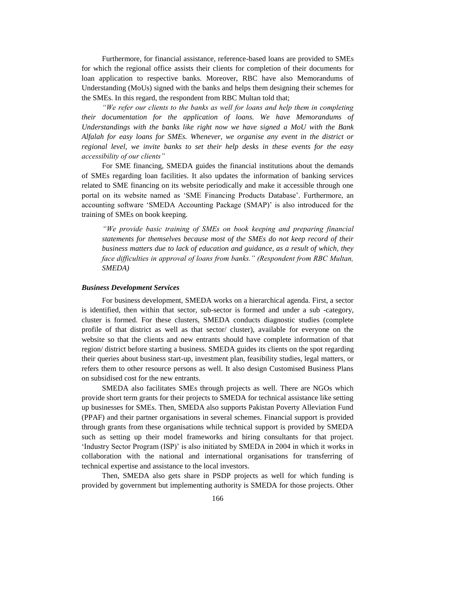Furthermore, for financial assistance, reference-based loans are provided to SMEs for which the regional office assists their clients for completion of their documents for loan application to respective banks. Moreover, RBC have also Memorandums of Understanding (MoUs) signed with the banks and helps them designing their schemes for the SMEs. In this regard, the respondent from RBC Multan told that;

*"We refer our clients to the banks as well for loans and help them in completing their documentation for the application of loans. We have Memorandums of Understandings with the banks like right now we have signed a MoU with the Bank Alfalah for easy loans for SMEs. Whenever, we organise any event in the district or regional level, we invite banks to set their help desks in these events for the easy accessibility of our clients"* 

For SME financing, SMEDA guides the financial institutions about the demands of SMEs regarding loan facilities. It also updates the information of banking services related to SME financing on its website periodically and make it accessible through one portal on its website named as 'SME Financing Products Database'. Furthermore, an accounting software 'SMEDA Accounting Package (SMAP)' is also introduced for the training of SMEs on book keeping.

*"We provide basic training of SMEs on book keeping and preparing financial statements for themselves because most of the SMEs do not keep record of their business matters due to lack of education and guidance, as a result of which, they*  face difficulties in approval of loans from banks." (Respondent from RBC Multan, *SMEDA)*

## *Business Development Services*

For business development, SMEDA works on a hierarchical agenda. First, a sector is identified, then within that sector, sub-sector is formed and under a sub -category, cluster is formed. For these clusters, SMEDA conducts diagnostic studies (complete profile of that district as well as that sector/ cluster), available for everyone on the website so that the clients and new entrants should have complete information of that region/ district before starting a business. SMEDA guides its clients on the spot regarding their queries about business start-up, investment plan, feasibility studies, legal matters, or refers them to other resource persons as well. It also design Customised Business Plans on subsidised cost for the new entrants.

SMEDA also facilitates SMEs through projects as well. There are NGOs which provide short term grants for their projects to SMEDA for technical assistance like setting up businesses for SMEs. Then, SMEDA also supports Pakistan Poverty Alleviation Fund (PPAF) and their partner organisations in several schemes. Financial support is provided through grants from these organisations while technical support is provided by SMEDA such as setting up their model frameworks and hiring consultants for that project. 'Industry Sector Program (ISP)' is also initiated by SMEDA in 2004 in which it works in collaboration with the national and international organisations for transferring of technical expertise and assistance to the local investors.

Then, SMEDA also gets share in PSDP projects as well for which funding is provided by government but implementing authority is SMEDA for those projects. Other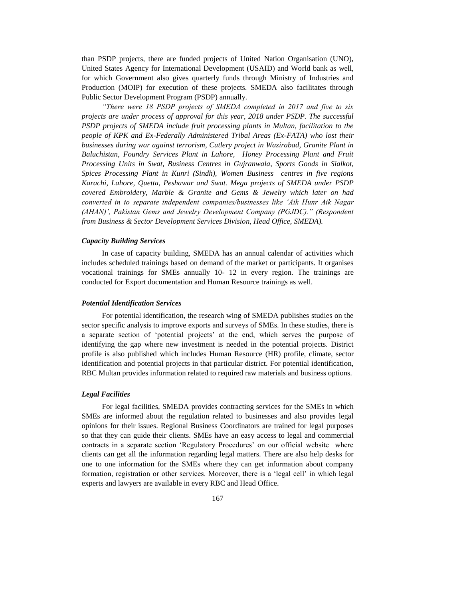than PSDP projects, there are funded projects of United Nation Organisation (UNO), United States Agency for International Development (USAID) and World bank as well, for which Government also gives quarterly funds through Ministry of Industries and Production (MOIP) for execution of these projects. SMEDA also facilitates through Public Sector Development Program (PSDP) annually.

*"There were 18 PSDP projects of SMEDA completed in 2017 and five to six projects are under process of approval for this year, 2018 under PSDP. The successful PSDP projects of SMEDA include fruit processing plants in Multan, facilitation to the people of KPK and Ex-Federally Administered Tribal Areas (Ex-FATA) who lost their businesses during war against terrorism, Cutlery project in Wazirabad, Granite Plant in Baluchistan, Foundry Services Plant in Lahore, Honey Processing Plant and Fruit Processing Units in Swat, Business Centres in Gujranwala, Sports Goods in Sialkot, Spices Processing Plant in Kunri (Sindh), Women Business centres in five regions Karachi, Lahore, Quetta, Peshawar and Swat. Mega projects of SMEDA under PSDP covered Embroidery, Marble & Granite and Gems & Jewelry which later on had converted in to separate independent companies/businesses like 'Aik Hunr Aik Nagar (AHAN)', Pakistan Gems and Jewelry Development Company (PGJDC)." (Respondent from Business & Sector Development Services Division, Head Office, SMEDA).*

## *Capacity Building Services*

In case of capacity building, SMEDA has an annual calendar of activities which includes scheduled trainings based on demand of the market or participants. It organises vocational trainings for SMEs annually 10- 12 in every region. The trainings are conducted for Export documentation and Human Resource trainings as well.

### *Potential Identification Services*

For potential identification, the research wing of SMEDA publishes studies on the sector specific analysis to improve exports and surveys of SMEs. In these studies, there is a separate section of 'potential projects' at the end, which serves the purpose of identifying the gap where new investment is needed in the potential projects. District profile is also published which includes Human Resource (HR) profile, climate, sector identification and potential projects in that particular district. For potential identification, RBC Multan provides information related to required raw materials and business options.

### *Legal Facilities*

For legal facilities, SMEDA provides contracting services for the SMEs in which SMEs are informed about the regulation related to businesses and also provides legal opinions for their issues. Regional Business Coordinators are trained for legal purposes so that they can guide their clients. SMEs have an easy access to legal and commercial contracts in a separate section 'Regulatory Procedures' on our official website where clients can get all the information regarding legal matters. There are also help desks for one to one information for the SMEs where they can get information about company formation, registration or other services. Moreover, there is a 'legal cell' in which legal experts and lawyers are available in every RBC and Head Office.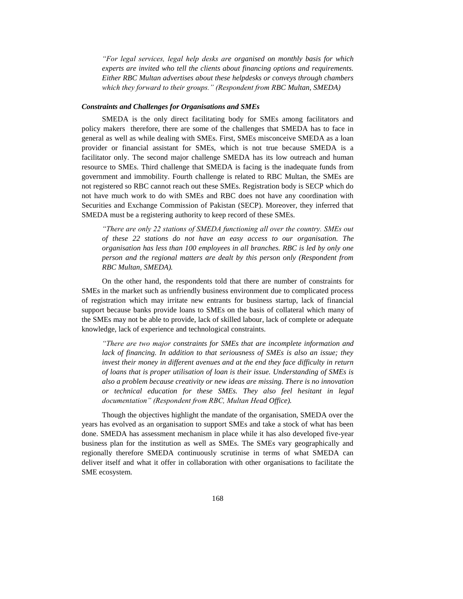*"For legal services, legal help desks are organised on monthly basis for which experts are invited who tell the clients about financing options and requirements. Either RBC Multan advertises about these helpdesks or conveys through chambers which they forward to their groups." (Respondent from RBC Multan, SMEDA)*

## *Constraints and Challenges for Organisations and SMEs*

SMEDA is the only direct facilitating body for SMEs among facilitators and policy makers therefore, there are some of the challenges that SMEDA has to face in general as well as while dealing with SMEs. First, SMEs misconceive SMEDA as a loan provider or financial assistant for SMEs, which is not true because SMEDA is a facilitator only. The second major challenge SMEDA has its low outreach and human resource to SMEs. Third challenge that SMEDA is facing is the inadequate funds from government and immobility. Fourth challenge is related to RBC Multan, the SMEs are not registered so RBC cannot reach out these SMEs. Registration body is SECP which do not have much work to do with SMEs and RBC does not have any coordination with Securities and Exchange Commission of Pakistan (SECP). Moreover, they inferred that SMEDA must be a registering authority to keep record of these SMEs.

*"There are only 22 stations of SMEDA functioning all over the country. SMEs out of these 22 stations do not have an easy access to our organisation. The organisation has less than 100 employees in all branches. RBC is led by only one person and the regional matters are dealt by this person only (Respondent from RBC Multan, SMEDA).*

On the other hand, the respondents told that there are number of constraints for SMEs in the market such as unfriendly business environment due to complicated process of registration which may irritate new entrants for business startup, lack of financial support because banks provide loans to SMEs on the basis of collateral which many of the SMEs may not be able to provide, lack of skilled labour, lack of complete or adequate knowledge, lack of experience and technological constraints.

*"There are two major constraints for SMEs that are incomplete information and lack of financing. In addition to that seriousness of SMEs is also an issue; they invest their money in different avenues and at the end they face difficulty in return of loans that is proper utilisation of loan is their issue. Understanding of SMEs is also a problem because creativity or new ideas are missing. There is no innovation or technical education for these SMEs. They also feel hesitant in legal documentation" (Respondent from RBC, Multan Head Office).*

Though the objectives highlight the mandate of the organisation, SMEDA over the years has evolved as an organisation to support SMEs and take a stock of what has been done. SMEDA has assessment mechanism in place while it has also developed five-year business plan for the institution as well as SMEs. The SMEs vary geographically and regionally therefore SMEDA continuously scrutinise in terms of what SMEDA can deliver itself and what it offer in collaboration with other organisations to facilitate the SME ecosystem.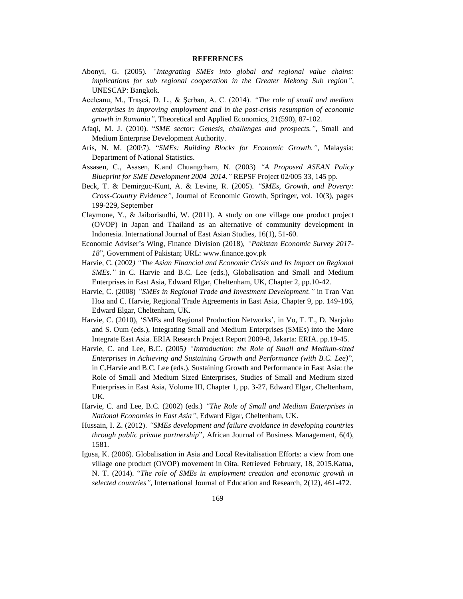### **REFERENCES**

- Abonyi, G. (2005). *"Integrating SMEs into global and regional value chains: implications for sub regional cooperation in the Greater Mekong Sub region"*, UNESCAP: Bangkok.
- Aceleanu, M., Traşcă, D. L., & Şerban, A. C. (2014). *"The role of small and medium enterprises in improving employment and in the post-crisis resumption of economic growth in Romania",* Theoretical and Applied Economics, 21(590), 87-102.
- Afaqi, M. J. (2010). "*SME sector: Genesis, challenges and prospects.",* Small and Medium Enterprise Development Authority.
- Aris, N. M. (200\7). "*SMEs: Building Blocks for Economic Growth.",* Malaysia: Department of National Statistics.
- Assasen, C., Asasen, K.and Chuangcham, N. (2003) *"A Proposed ASEAN Policy Blueprint for SME Development 2004–2014."* REPSF Project 02/005 33, 145 pp.
- Beck, T. & Demirguc-Kunt, A. & Levine, R. (2005). *"SMEs, Growth, and Poverty: Cross-Country Evidence",* Journal of Economic Growth, Springer, vol. 10(3), pages 199-229, September
- Claymone, Y., & Jaiborisudhi, W. (2011). A study on one village one product project (OVOP) in Japan and Thailand as an alternative of community development in Indonesia. International Journal of East Asian Studies, 16(1), 51-60.
- Economic Adviser's Wing, Finance Division (2018), *"Pakistan Economic Survey 2017- 18*", Government of Pakistan; URL: www.finance.gov.pk
- Harvie, C. (2002*) "The Asian Financial and Economic Crisis and Its Impact on Regional SMEs."* in C. Harvie and B.C. Lee (eds.), Globalisation and Small and Medium Enterprises in East Asia, Edward Elgar, Cheltenham, UK, Chapter 2, pp.10-42.
- Harvie, C. (2008) *"SMEs in Regional Trade and Investment Development."* in Tran Van Hoa and C. Harvie, Regional Trade Agreements in East Asia, Chapter 9, pp. 149-186, Edward Elgar, Cheltenham, UK.
- Harvie, C. (2010), 'SMEs and Regional Production Networks', in Vo, T. T., D. Narjoko and S. Oum (eds.), Integrating Small and Medium Enterprises (SMEs) into the More Integrate East Asia. ERIA Research Project Report 2009-8, Jakarta: ERIA. pp.19-45.
- Harvie, C. and Lee, B.C. (2005*) "Introduction: the Role of Small and Medium-sized Enterprises in Achieving and Sustaining Growth and Performance (with B.C. Lee)*", in C.Harvie and B.C. Lee (eds.), Sustaining Growth and Performance in East Asia: the Role of Small and Medium Sized Enterprises, Studies of Small and Medium sized Enterprises in East Asia, Volume III, Chapter 1, pp. 3-27, Edward Elgar, Cheltenham, UK.
- Harvie, C. and Lee, B.C. (2002) (eds.) *"The Role of Small and Medium Enterprises in National Economies in East Asia",* Edward Elgar, Cheltenham, UK.
- Hussain, I. Z. (2012). *"SMEs development and failure avoidance in developing countries through public private partnership*", African Journal of Business Management, 6(4), 1581.
- Igusa, K. (2006). Globalisation in Asia and Local Revitalisation Efforts: a view from one village one product (OVOP) movement in Oita. Retrieved February, 18, 2015.Katua, N. T. (2014). "*The role of SMEs in employment creation and economic growth in selected countries",* International Journal of Education and Research, 2(12), 461-472.